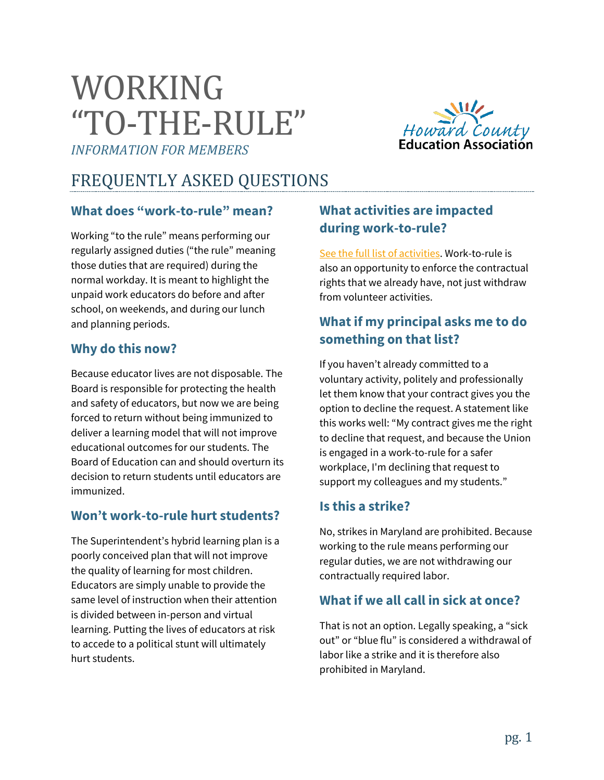# WORKING "TO-THE-RULE"

*INFORMATION FOR MEMBERS*



## FREQUENTLY ASKED QUESTIONS

#### **What does "work-to-rule" mean?**

Working "to the rule" means performing our regularly assigned duties ("the rule" meaning those duties that are required) during the normal workday. It is meant to highlight the unpaid work educators do before and after school, on weekends, and during our lunch and planning periods.

#### **Why do this now?**

Because educator lives are not disposable. The Board is responsible for protecting the health and safety of educators, but now we are being forced to return without being immunized to deliver a learning model that will not improve educational outcomes for our students. The Board of Education can and should overturn its decision to return students until educators are immunized.

#### **Won't work-to-rule hurt students?**

The Superintendent's hybrid learning plan is a poorly conceived plan that will not improve the quality of learning for most children. Educators are simply unable to provide the same level of instruction when their attention is divided between in-person and virtual learning. Putting the lives of educators at risk to accede to a political stunt will ultimately hurt students.

### **What activities are impacted during work-to-rule?**

[See the full list of activities.](https://actionnetwork.org/user_files/user_files/000/053/968/original/Work_to_Rule_Resolution_(Board_Approved__2-2-21).pdf?link_id=2&can_id=96721810325ae046e6fc4da7a2ff3cd4&source=email-action-alert-hcea-board-authorizes-work-to-rule&email_referrer=&email_subject=_-action-alert-hcea-board-authorizes-work-to-rule) Work-to-rule is also an opportunity to enforce the contractual rights that we already have, not just withdraw from volunteer activities.

#### **What if my principal asks me to do something on that list?**

If you haven't already committed to a voluntary activity, politely and professionally let them know that your contract gives you the option to decline the request. A statement like this works well: "My contract gives me the right to decline that request, and because the Union is engaged in a work-to-rule for a safer workplace, I'm declining that request to support my colleagues and my students."

#### **Is this a strike?**

No, strikes in Maryland are prohibited. Because working to the rule means performing our regular duties, we are not withdrawing our contractually required labor.

#### **What if we all call in sick at once?**

That is not an option. Legally speaking, a "sick out" or "blue flu" is considered a withdrawal of labor like a strike and it is therefore also prohibited in Maryland.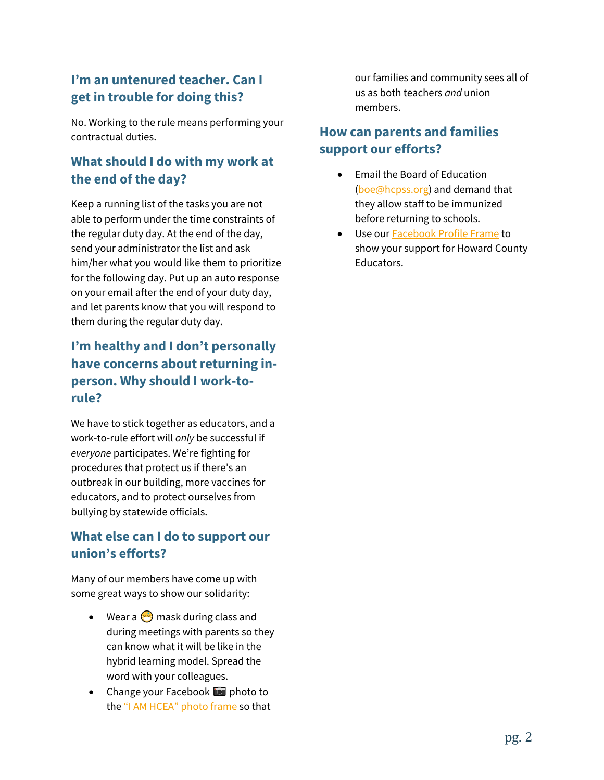#### **I'm an untenured teacher. Can I get in trouble for doing this?**

No. Working to the rule means performing your contractual duties.

#### **What should I do with my work at the end of the day?**

Keep a running list of the tasks you are not able to perform under the time constraints of the regular duty day. At the end of the day, send your administrator the list and ask him/her what you would like them to prioritize for the following day. Put up an auto response on your email after the end of your duty day, and let parents know that you will respond to them during the regular duty day.

### **I'm healthy and I don't personally have concerns about returning inperson. Why should I work-torule?**

We have to stick together as educators, and a work-to-rule effort will *only* be successful if *everyone* participates. We're fighting for procedures that protect us if there's an outbreak in our building, more vaccines for educators, and to protect ourselves from bullying by statewide officials.

#### **What else can I do to support our union's efforts?**

Many of our members have come up with some great ways to show our solidarity:

- Wear a  $\odot$  mask during class and during meetings with parents so they can know what it will be like in the hybrid learning model. Spread the word with your colleagues.
- Change your Facebook  $\bullet$  photo to the ["I AM HCEA" photo frame](http://www.facebook.com/profilepicframes/?selected_overlay_id=174831490707980) so that

our families and community sees all of us as both teachers *and* union members.

#### **How can parents and families support our efforts?**

- Email the Board of Education [\(boe@hcpss.org\)](mailto:boe@hcpss.org) and demand that they allow staff to be immunized before returning to schools.
- Use ou[r Facebook Profile Frame](http://www.facebook.com/profilepicframes/?selected_overlay_id=2898566540425912) to show your support for Howard County Educators.